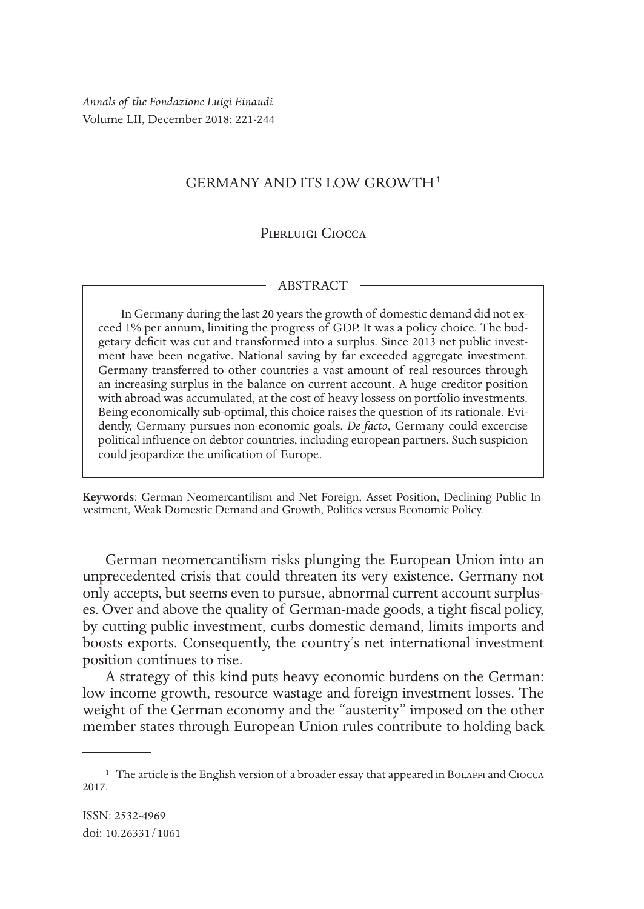*Annals of the Fondazione Luigi Einaudi* Volume LII, December 2018: 221-244

# GERMANY AND ITS LOW GROWTH1

## Pierluigi Ciocca

### **ABSTRACT**

In Germany during the last 20 years the growth of domestic demand did not exceed 1% per annum, limiting the progress of GDP. It was a policy choice. The budgetary deficit was cut and transformed into a surplus. Since 2013 net public investment have been negative. National saving by far exceeded aggregate investment. Germany transferred to other countries a vast amount of real resources through an increasing surplus in the balance on current account. A huge creditor position with abroad was accumulated, at the cost of heavy lossess on portfolio investments. Being economically sub-optimal, this choice raises the question of its rationale. Evidently, Germany pursues non-economic goals. *De facto*, Germany could excercise political influence on debtor countries, including european partners. Such suspicion could jeopardize the unification of Europe.

**Keywords**: German Neomercantilism and Net Foreign, Asset Position, Declining Public In- vestment, Weak Domestic Demand and Growth, Politics versus Economic Policy.

German neomercantilism risks plunging the European Union into an unprecedented crisis that could threaten its very existence. Germany not only accepts, but seems even to pursue, abnormal current account surpluses. Over and above the quality of German-made goods, a tight fiscal policy, by cutting public investment, curbs domestic demand, limits imports and boosts exports. Consequently, the country's net international investment position continues to rise.

A strategy of this kind puts heavy economic burdens on the German: low income growth, resource wastage and foreign investment losses. The weight of the German economy and the "austerity" imposed on the other member states through European Union rules contribute to holding back

<sup>&</sup>lt;sup>1</sup> The article is the English version of a broader essay that appeared in BoLAFFI and CIOCCA 2017.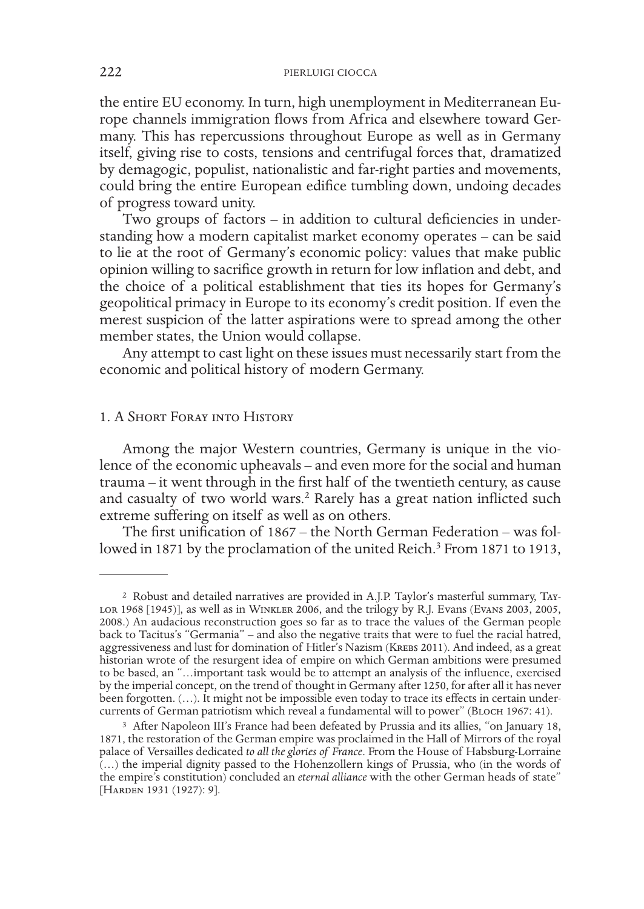the entire EU economy. In turn, high unemployment in Mediterranean Europe channels immigration flows from Africa and elsewhere toward Germany. This has repercussions throughout Europe as well as in Germany itself, giving rise to costs, tensions and centrifugal forces that, dramatized by demagogic, populist, nationalistic and far-right parties and movements, could bring the entire European edifice tumbling down, undoing decades of progress toward unity.

Two groups of factors – in addition to cultural deficiencies in understanding how a modern capitalist market economy operates – can be said to lie at the root of Germany's economic policy: values that make public opinion willing to sacrifice growth in return for low inflation and debt, and the choice of a political establishment that ties its hopes for Germany's geopolitical primacy in Europe to its economy's credit position. If even the merest suspicion of the latter aspirations were to spread among the other member states, the Union would collapse.

Any attempt to cast light on these issues must necessarily start from the economic and political history of modern Germany.

## 1. A Short Foray into History

Among the major Western countries, Germany is unique in the violence of the economic upheavals – and even more for the social and human trauma – it went through in the first half of the twentieth century, as cause and casualty of two world wars.<sup>2</sup> Rarely has a great nation inflicted such extreme suffering on itself as well as on others.

The first unification of 1867 – the North German Federation – was followed in 1871 by the proclamation of the united Reich.<sup>3</sup> From 1871 to 1913,

<sup>&</sup>lt;sup>2</sup> Robust and detailed narratives are provided in A.J.P. Taylor's masterful summary, Tay-<br>
LOR 1968 [1945)], as well as in WINKLER 2006, and the trilogy by R.J. Evans (Evans 2003, 2005, 2008.) An audacious reconstruction goes so far as to trace the values of the German people back to Tacitus's "Germania" – and also the negative traits that were to fuel the racial hatred, aggressiveness and lust for domination of Hitler's Nazism (Krebs 2011). And indeed, as a great historian wrote of the resurgent idea of empire on which German ambitions were presumed to be based, an "…important task would be to attempt an analysis of the influence, exercised by the imperial concept, on the trend of thought in Germany after 1250, for after all it has never been forgotten. (…). It might not be impossible even today to trace its effects in certain undercurrents of German patriotism which reveal a fundamental will to power" (Bloch 1967: 41).

<sup>3</sup> After Napoleon III's France had been defeated by Prussia and its allies, "on January 18, 1871, the restoration of the German empire was proclaimed in the Hall of Mirrors of the royal palace of Versailles dedicated *to all the glories of France*. From the House of Habsburg-Lorraine (…) the imperial dignity passed to the Hohenzollern kings of Prussia, who (in the words of the empire's constitution) concluded an *eternal alliance* with the other German heads of state" [HARDEN 1931 (1927): 9].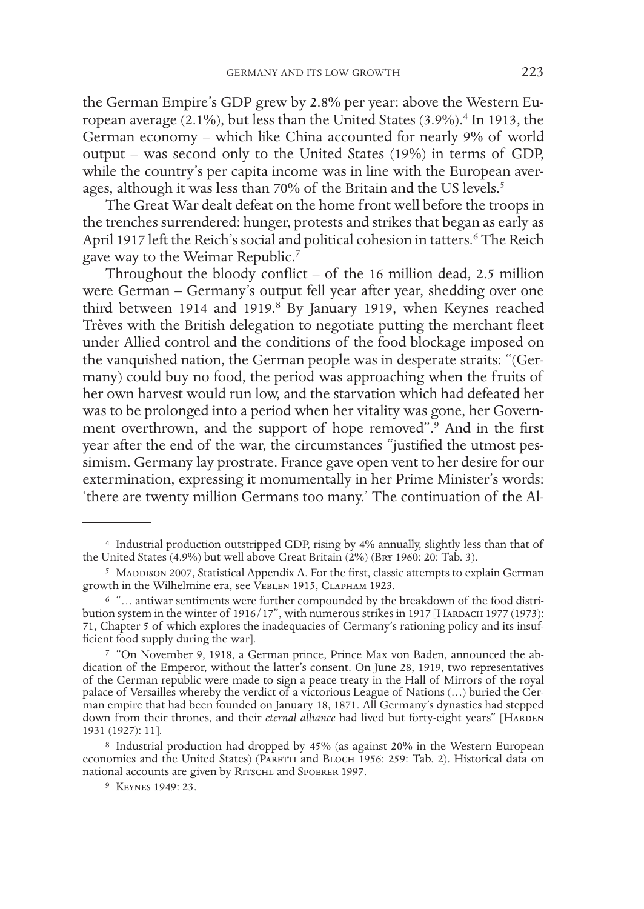the German Empire's GDP grew by 2.8% per year: above the Western European average (2.1%), but less than the United States (3.9%).<sup>4</sup> In 1913, the German economy – which like China accounted for nearly 9% of world output – was second only to the United States (19%) in terms of GDP, while the country's per capita income was in line with the European averages, although it was less than 70% of the Britain and the US levels.<sup>5</sup>

The Great War dealt defeat on the home front well before the troops in the trenches surrendered: hunger, protests and strikes that began as early as April 1917 left the Reich's social and political cohesion in tatters.<sup>6</sup> The Reich gave way to the Weimar Republic.7

Throughout the bloody conflict – of the 16 million dead, 2.5 million were German – Germany's output fell year after year, shedding over one third between 1914 and 1919.<sup>8</sup> By January 1919, when Keynes reached Trèves with the British delegation to negotiate putting the merchant fleet under Allied control and the conditions of the food blockage imposed on the vanquished nation, the German people was in desperate straits: "(Germany) could buy no food, the period was approaching when the fruits of her own harvest would run low, and the starvation which had defeated her was to be prolonged into a period when her vitality was gone, her Government overthrown, and the support of hope removed".<sup>9</sup> And in the first year after the end of the war, the circumstances "justified the utmost pessimism. Germany lay prostrate. France gave open vent to her desire for our extermination, expressing it monumentally in her Prime Minister's words: 'there are twenty million Germans too many.' The continuation of the Al-

<sup>4</sup> Industrial production outstripped GDP, rising by 4% annually, slightly less than that of the United States (4.9%) but well above Great Britain (2%) (Bry 1960: 20: Tab. 3).

<sup>&</sup>lt;sup>5</sup> MADDISON 2007, Statistical Appendix A. For the first, classic attempts to explain German growth in the Wilhelmine era, see VEBLEN 1915, CLAPHAM 1923.

<sup>6</sup> "… antiwar sentiments were further compounded by the breakdown of the food distribution system in the winter of  $1916/17$ ", with numerous strikes in  $1917$  [HARDACH 1977 (1973): 71, Chapter 5 of which explores the inadequacies of Germany's rationing policy and its insuf- ficient food supply during the war].

<sup>7</sup> "On November 9, 1918, a German prince, Prince Max von Baden, announced the abdication of the Emperor, without the latter's consent. On June 28, 1919, two representatives of the German republic were made to sign a peace treaty in the Hall of Mirrors of the royal palace of Versailles whereby the verdict of a victorious League of Nations (…) buried the German empire that had been founded on January 18, 1871. All Germany's dynasties had stepped down from their thrones, and their *eternal alliance* had lived but forty-eight years" [HARDEN 1931 (1927): 11].

<sup>8</sup> Industrial production had dropped by 45% (as against 20% in the Western European economies and the United States) (PARETTI and BLOCH 1956: 259: Tab. 2). Historical data on national accounts are given by RITSCHL and SPOERER 1997.

<sup>9</sup> Keynes 1949: 23.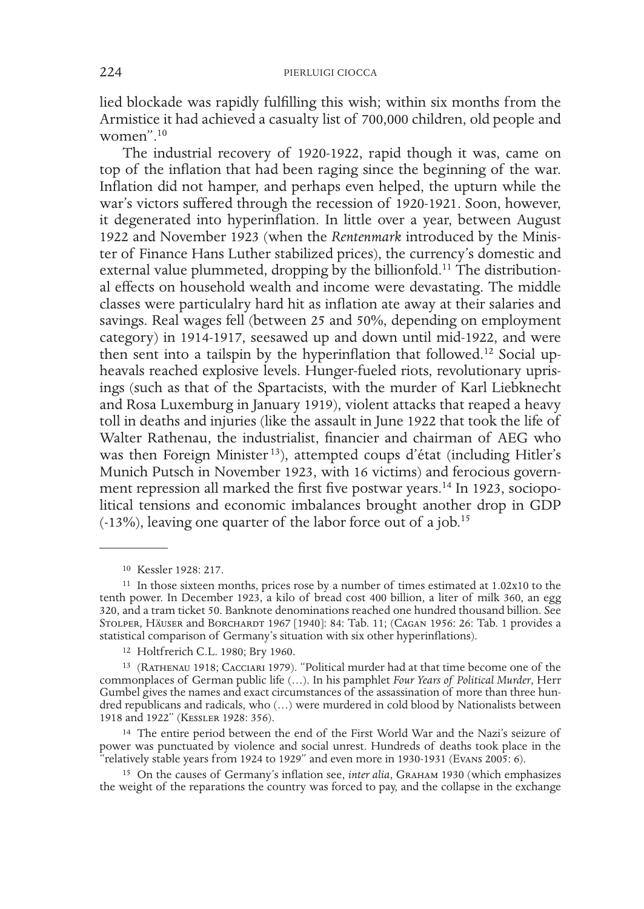lied blockade was rapidly fulfilling this wish; within six months from the Armistice it had achieved a casualty list of 700,000 children, old people and women".10

The industrial recovery of 1920-1922, rapid though it was, came on top of the inflation that had been raging since the beginning of the war. Inflation did not hamper, and perhaps even helped, the upturn while the war's victors suffered through the recession of 1920-1921. Soon, however, it degenerated into hyperinflation. In little over a year, between August 1922 and November 1923 (when the *Rentenmark* introduced by the Minister of Finance Hans Luther stabilized prices), the currency's domestic and external value plummeted, dropping by the billionfold.<sup>11</sup> The distributional effects on household wealth and income were devastating. The middle classes were particulalry hard hit as inflation ate away at their salaries and savings. Real wages fell (between 25 and 50%, depending on employment category) in 1914-1917, seesawed up and down until mid-1922, and were then sent into a tailspin by the hyperinflation that followed.<sup>12</sup> Social upheavals reached explosive levels. Hunger-fueled riots, revolutionary uprisings (such as that of the Spartacists, with the murder of Karl Liebknecht and Rosa Luxemburg in January 1919), violent attacks that reaped a heavy toll in deaths and injuries (like the assault in June 1922 that took the life of Walter Rathenau, the industrialist, financier and chairman of AEG who was then Foreign Minister<sup>13</sup>), attempted coups d'état (including Hitler's Munich Putsch in November 1923, with 16 victims) and ferocious government repression all marked the first five postwar years.<sup>14</sup> In 1923, sociopolitical tensions and economic imbalances brought another drop in GDP  $(-13\%)$ , leaving one quarter of the labor force out of a job.<sup>15</sup>

14 The entire period between the end of the First World War and the Nazi's seizure of power was punctuated by violence and social unrest. Hundreds of deaths took place in the "relatively stable years from 1924 to 1929" and even more in 1930-1931 (Evans 2005: 6).

15 On the causes of Germany's inflation see, *inter alia*, Graham 1930 (which emphasizes the weight of the reparations the country was forced to pay, and the collapse in the exchange

<sup>10</sup> Kessler 1928: 217.

<sup>11</sup> In those sixteen months, prices rose by a number of times estimated at 1.02x10 to the tenth power. In December 1923, a kilo of bread cost 400 billion, a liter of milk 360, an egg 320, and a tram ticket 50. Banknote denominations reached one hundred thousand billion. See STOLPER, HÄUSER and BORCHARDT 1967 [1940]: 84: Tab. 11; (CAGAN 1956: 26: Tab. 1 provides a statistical comparison of Germany's situation with six other hyperinflations).

<sup>12</sup> Holtfrerich C.L. 1980; Bry 1960.

<sup>13</sup> (Rathenau 1918; Cacciari 1979). "Political murder had at that time become one of the commonplaces of German public life (…). In his pamphlet *Four Years of Political Murder*, Herr Gumbel gives the names and exact circumstances of the assassination of more than three hundred republicans and radicals, who (…) were murdered in cold blood by Nationalists between 1918 and 1922" (Kessler 1928: 356).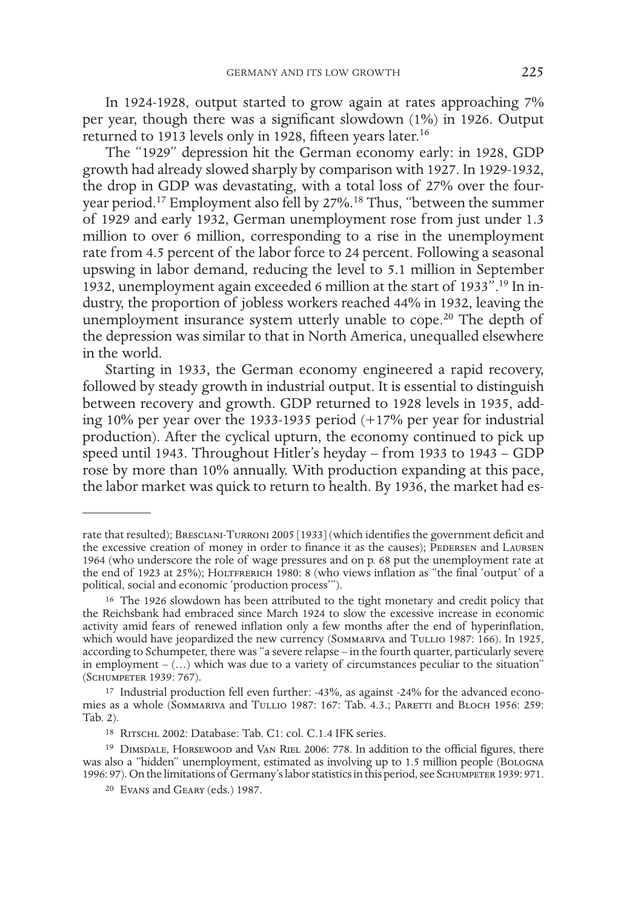In 1924-1928, output started to grow again at rates approaching 7% per year, though there was a significant slowdown (1%) in 1926. Output returned to 1913 levels only in 1928, fifteen years later.<sup>16</sup>

The "1929" depression hit the German economy early: in 1928, GDP growth had already slowed sharply by comparison with 1927. In 1929-1932, the drop in GDP was devastating, with a total loss of 27% over the fouryear period.17 Employment also fell by 27%.18 Thus, "between the summer of 1929 and early 1932, German unemployment rose from just under 1.3 million to over 6 million, corresponding to a rise in the unemployment rate from 4.5 percent of the labor force to 24 percent. Following a seasonal upswing in labor demand, reducing the level to 5.1 million in September 1932, unemployment again exceeded 6 million at the start of 1933".19 In industry, the proportion of jobless workers reached 44% in 1932, leaving the unemployment insurance system utterly unable to cope.<sup>20</sup> The depth of the depression was similar to that in North America, unequalled elsewhere in the world.

Starting in 1933, the German economy engineered a rapid recovery, followed by steady growth in industrial output. It is essential to distinguish between recovery and growth. GDP returned to 1928 levels in 1935, adding 10% per year over the 1933-1935 period (+17% per year for industrial production). After the cyclical upturn, the economy continued to pick up speed until 1943. Throughout Hitler's heyday – from 1933 to 1943 – GDP rose by more than 10% annually. With production expanding at this pace, the labor market was quick to return to health. By 1936, the market had es-

rate that resulted); Bresciani-Turroni 2005 [1933] (which identifies the government deficit and the excessive creation of money in order to finance it as the causes); PEDERSEN and LAURSEN 1964 (who underscore the role of wage pressures and on p. 68 put the unemployment rate at the end of 1923 at 25%); HOLTFRERICH 1980: 8 (who views inflation as "the final 'output' of a political, social and economic 'production process'").

<sup>&</sup>lt;sup>16</sup> The 1926 slowdown has been attributed to the tight monetary and credit policy that the Reichsbank had embraced since March 1924 to slow the excessive increase in economic activity amid fears of renewed inflation only a few months after the end of hyperinflation, which would have jeopardized the new currency (SOMMARIVA and TULLIO 1987: 166). In 1925, according to Schumpeter, there was "a severe relapse – in the fourth quarter, particularly severe in employment  $(\ldots)$  which was due to a variety of circumstances peculiar to the situation" (Schumpeter 1939: 767).

<sup>17</sup> Industrial production fell even further: -43%, as against -24% for the advanced economies as a whole (Sommariva and Tullio 1987: 167: Tab. 4.3.; Paretti and Bloch 1956: 259: Tab. 2).

<sup>18</sup> Ritschl 2002: Database: Tab. C1: col. C.1.4 IFK series.

<sup>&</sup>lt;sup>19</sup> DIMSDALE, HORSEWOOD and VAN RIEL 2006: 778. In addition to the official figures, there was also a "hidden" unemployment, estimated as involving up to 1.5 million people (Bologna 1996: 97). On the limitations of Germany's labor statistics in this period, see SCHUMPETER 1939: 971.

<sup>20</sup> Evans and Geary (eds.) 1987.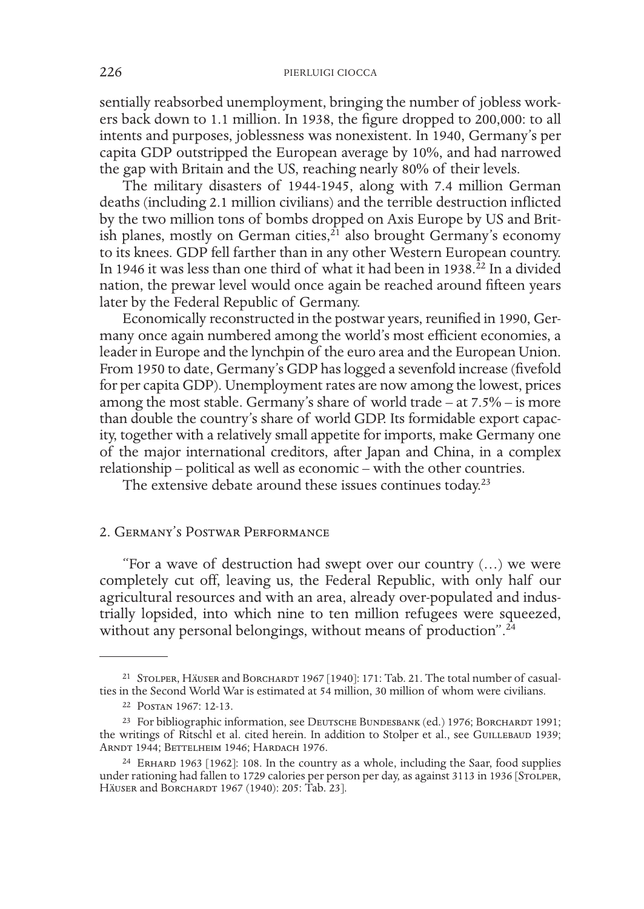sentially reabsorbed unemployment, bringing the number of jobless workers back down to 1.1 million. In 1938, the figure dropped to 200,000: to all intents and purposes, joblessness was nonexistent. In 1940, Germany's per capita GDP outstripped the European average by 10%, and had narrowed the gap with Britain and the US, reaching nearly 80% of their levels.

The military disasters of 1944-1945, along with 7.4 million German deaths (including 2.1 million civilians) and the terrible destruction inflicted by the two million tons of bombs dropped on Axis Europe by US and British planes, mostly on German cities, $^{21}$  also brought Germany's economy to its knees. GDP fell farther than in any other Western European country. In 1946 it was less than one third of what it had been in 1938. $^{22}$  In a divided nation, the prewar level would once again be reached around fifteen years later by the Federal Republic of Germany.

Economically reconstructed in the postwar years, reunified in 1990, Germany once again numbered among the world's most efficient economies, a leader in Europe and the lynchpin of the euro area and the European Union. From 1950 to date, Germany's GDP has logged a sevenfold increase (fivefold for per capita GDP). Unemployment rates are now among the lowest, prices among the most stable. Germany's share of world trade – at 7.5% – is more than double the country's share of world GDP. Its formidable export capacity, together with a relatively small appetite for imports, make Germany one of the major international creditors, after Japan and China, in a complex relationship – political as well as economic – with the other countries.

The extensive debate around these issues continues today.<sup>23</sup>

# 2. Germany's Postwar Performance

"For a wave of destruction had swept over our country (…) we were completely cut off, leaving us, the Federal Republic, with only half our agricultural resources and with an area, already over-populated and industrially lopsided, into which nine to ten million refugees were squeezed, without any personal belongings, without means of production".<sup>24</sup>

<sup>&</sup>lt;sup>21</sup> STOLPER, HÄUSER and BORCHARDT 1967 [1940]: 171: Tab. 21. The total number of casualties in the Second World War is estimated at 54 million, 30 million of whom were civilians.

<sup>22</sup> Postan 1967: 12-13.

<sup>&</sup>lt;sup>23</sup> For bibliographic information, see DEUTSCHE BUNDESBANK (ed.) 1976; BORCHARDT 1991; the writings of Ritschl et al. cited herein. In addition to Stolper et al., see GUILLEBAUD 1939; Arndt 1944; Bettelheim 1946; Hardach 1976.

<sup>24</sup> Erhard 1963 [1962]: 108. In the country as a whole, including the Saar, food supplies under rationing had fallen to 1729 calories per person per day, as against 3113 in 1936 [STOLPER, HÄUSER and BORCHARDT 1967 (1940): 205: Tab. 23].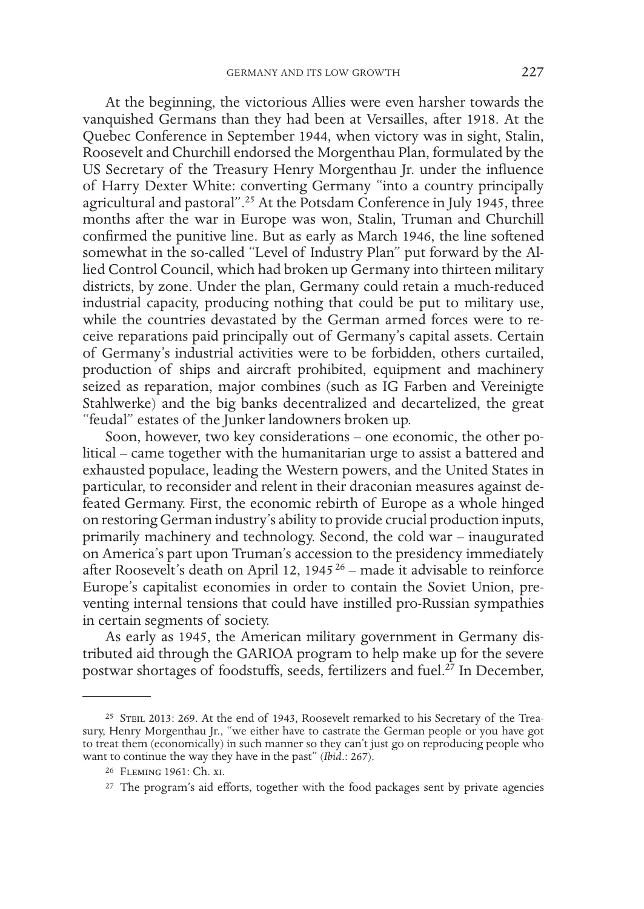At the beginning, the victorious Allies were even harsher towards the vanquished Germans than they had been at Versailles, after 1918. At the Quebec Conference in September 1944, when victory was in sight, Stalin, Roosevelt and Churchill endorsed the Morgenthau Plan, formulated by the US Secretary of the Treasury Henry Morgenthau Jr. under the influence of Harry Dexter White: converting Germany "into a country principally agricultural and pastoral".<sup>25</sup> At the Potsdam Conference in July 1945, three months after the war in Europe was won, Stalin, Truman and Churchill confirmed the punitive line. But as early as March 1946, the line softened somewhat in the so-called "Level of Industry Plan" put forward by the Allied Control Council, which had broken up Germany into thirteen military districts, by zone. Under the plan, Germany could retain a much-reduced industrial capacity, producing nothing that could be put to military use, while the countries devastated by the German armed forces were to receive reparations paid principally out of Germany's capital assets. Certain of Germany's industrial activities were to be forbidden, others curtailed, production of ships and aircraft prohibited, equipment and machinery seized as reparation, major combines (such as IG Farben and Vereinigte Stahlwerke) and the big banks decentralized and decartelized, the great "feudal" estates of the Junker landowners broken up.

Soon, however, two key considerations – one economic, the other political – came together with the humanitarian urge to assist a battered and exhausted populace, leading the Western powers, and the United States in particular, to reconsider and relent in their draconian measures against defeated Germany. First, the economic rebirth of Europe as a whole hinged on restoring German industry's ability to provide crucial production inputs, primarily machinery and technology. Second, the cold war – inaugurated on America's part upon Truman's accession to the presidency immediately after Roosevelt's death on April 12, 1945 26 – made it advisable to reinforce Europe's capitalist economies in order to contain the Soviet Union, preventing internal tensions that could have instilled pro-Russian sympathies in certain segments of society.

As early as 1945, the American military government in Germany distributed aid through the GARIOA program to help make up for the severe postwar shortages of foodstuffs, seeds, fertilizers and fuel.<sup>27</sup> In December,

<sup>&</sup>lt;sup>25</sup> STEIL 2013: 269. At the end of 1943, Roosevelt remarked to his Secretary of the Treasury, Henry Morgenthau Jr., "we either have to castrate the German people or you have got to treat them (economically) in such manner so they can't just go on reproducing people who want to continue the way they have in the past" (*Ibid*.: 267).

<sup>26</sup> Fleming 1961: Ch. xi.

<sup>&</sup>lt;sup>27</sup> The program's aid efforts, together with the food packages sent by private agencies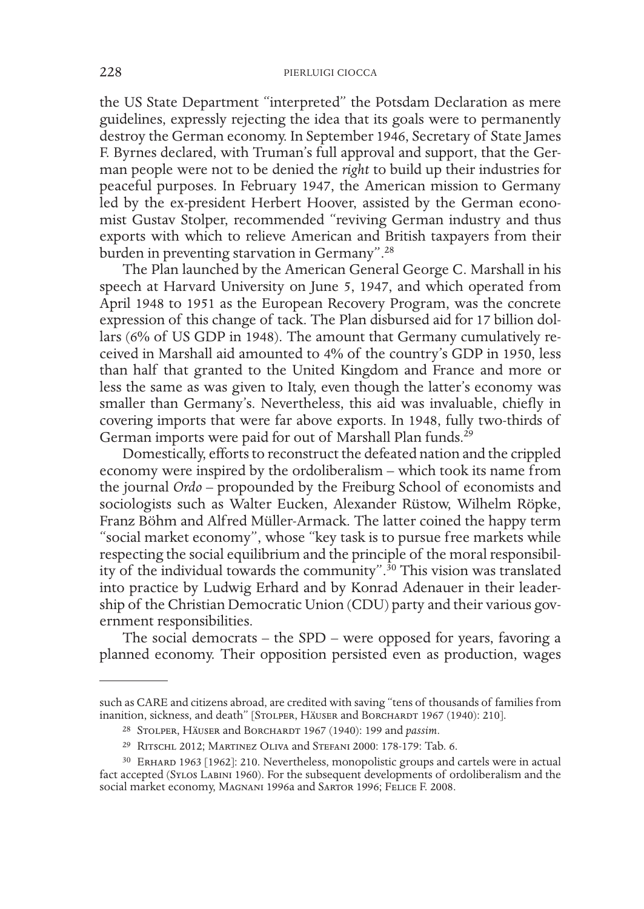the US State Department "interpreted" the Potsdam Declaration as mere guidelines, expressly rejecting the idea that its goals were to permanently destroy the German economy. In September 1946, Secretary of State James F. Byrnes declared, with Truman's full approval and support, that the German people were not to be denied the *right* to build up their industries for peaceful purposes. In February 1947, the American mission to Germany led by the ex-president Herbert Hoover, assisted by the German economist Gustav Stolper, recommended "reviving German industry and thus exports with which to relieve American and British taxpayers from their burden in preventing starvation in Germany".28

The Plan launched by the American General George C. Marshall in his speech at Harvard University on June 5, 1947, and which operated from April 1948 to 1951 as the European Recovery Program, was the concrete expression of this change of tack. The Plan disbursed aid for 17 billion dollars (6% of US GDP in 1948). The amount that Germany cumulatively received in Marshall aid amounted to 4% of the country's GDP in 1950, less than half that granted to the United Kingdom and France and more or less the same as was given to Italy, even though the latter's economy was smaller than Germany's. Nevertheless, this aid was invaluable, chiefly in covering imports that were far above exports. In 1948, fully two-thirds of German imports were paid for out of Marshall Plan funds.<sup>29</sup>

Domestically, efforts to reconstruct the defeated nation and the crippled economy were inspired by the ordoliberalism – which took its name from the journal *Ordo* – propounded by the Freiburg School of economists and sociologists such as Walter Eucken, Alexander Rüstow, Wilhelm Röpke, Franz Böhm and Alfred Müller-Armack. The latter coined the happy term "social market economy", whose "key task is to pursue free markets while respecting the social equilibrium and the principle of the moral responsibility of the individual towards the community".<sup>30</sup> This vision was translated into practice by Ludwig Erhard and by Konrad Adenauer in their leadership of the Christian Democratic Union (CDU) party and their various government responsibilities.

The social democrats – the SPD – were opposed for years, favoring a planned economy. Their opposition persisted even as production, wages

such as CARE and citizens abroad, are credited with saving "tens of thousands of families from inanition, sickness, and death" [STOLPER, HÄUSER and BORCHARDT 1967 (1940): 210].

<sup>28</sup> Stolper, Häuser and Borchardt 1967 (1940): 199 and *passim*.

<sup>29</sup> Ritschl 2012; Martinez Oliva and Stefani 2000: 178-179: Tab. 6.

<sup>30</sup> Erhard 1963 [1962]: 210. Nevertheless, monopolistic groups and cartels were in actual fact accepted (Sylos Labini 1960). For the subsequent developments of ordoliberalism and the social market economy, MAGNANI 1996a and SARTOR 1996; FELICE F. 2008.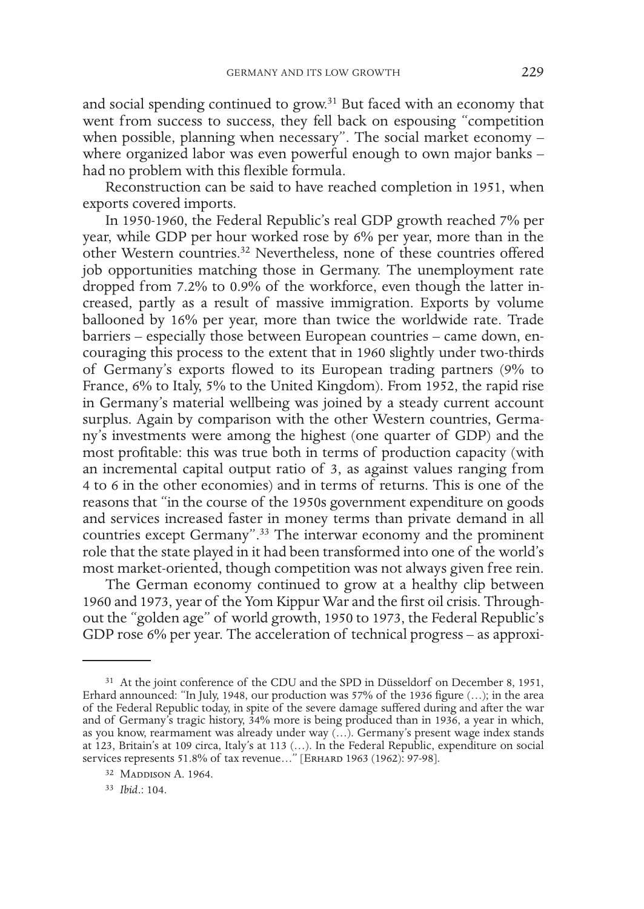and social spending continued to grow.<sup>31</sup> But faced with an economy that went from success to success, they fell back on espousing "competition" when possible, planning when necessary". The social market economy where organized labor was even powerful enough to own major banks had no problem with this flexible formula.

Reconstruction can be said to have reached completion in 1951, when exports covered imports.

In 1950-1960, the Federal Republic's real GDP growth reached 7% per year, while GDP per hour worked rose by 6% per year, more than in the other Western countries.32 Nevertheless, none of these countries offered job opportunities matching those in Germany. The unemployment rate dropped from 7.2% to 0.9% of the workforce, even though the latter increased, partly as a result of massive immigration. Exports by volume ballooned by 16% per year, more than twice the worldwide rate. Trade barriers – especially those between European countries – came down, encouraging this process to the extent that in 1960 slightly under two-thirds of Germany's exports flowed to its European trading partners (9% to France, 6% to Italy, 5% to the United Kingdom). From 1952, the rapid rise in Germany's material wellbeing was joined by a steady current account surplus. Again by comparison with the other Western countries, Germany's investments were among the highest (one quarter of GDP) and the most profitable: this was true both in terms of production capacity (with an incremental capital output ratio of 3, as against values ranging from 4 to 6 in the other economies) and in terms of returns. This is one of the reasons that "in the course of the 1950s government expenditure on goods and services increased faster in money terms than private demand in all countries except Germany".<sup>33</sup> The interwar economy and the prominent role that the state played in it had been transformed into one of the world's most market-oriented, though competition was not always given free rein.

The German economy continued to grow at a healthy clip between 1960 and 1973, year of the Yom Kippur War and the first oil crisis. Throughout the "golden age" of world growth, 1950 to 1973, the Federal Republic's GDP rose 6% per year. The acceleration of technical progress – as approxi-

<sup>31</sup> At the joint conference of the CDU and the SPD in Düsseldorf on December 8, 1951, Erhard announced: "In July, 1948, our production was 57% of the 1936 figure (…); in the area of the Federal Republic today, in spite of the severe damage suffered during and after the war and of Germany's tragic history, 34% more is being produced than in 1936, a year in which, as you know, rearmament was already under way (…). Germany's present wage index stands at 123, Britain's at 109 circa, Italy's at 113 (…). In the Federal Republic, expenditure on social services represents 51.8% of tax revenue..." [ERHARD 1963 (1962): 97-98].

<sup>32</sup> MADDISON A. 1964.

<sup>33</sup> *Ibid*.: 104.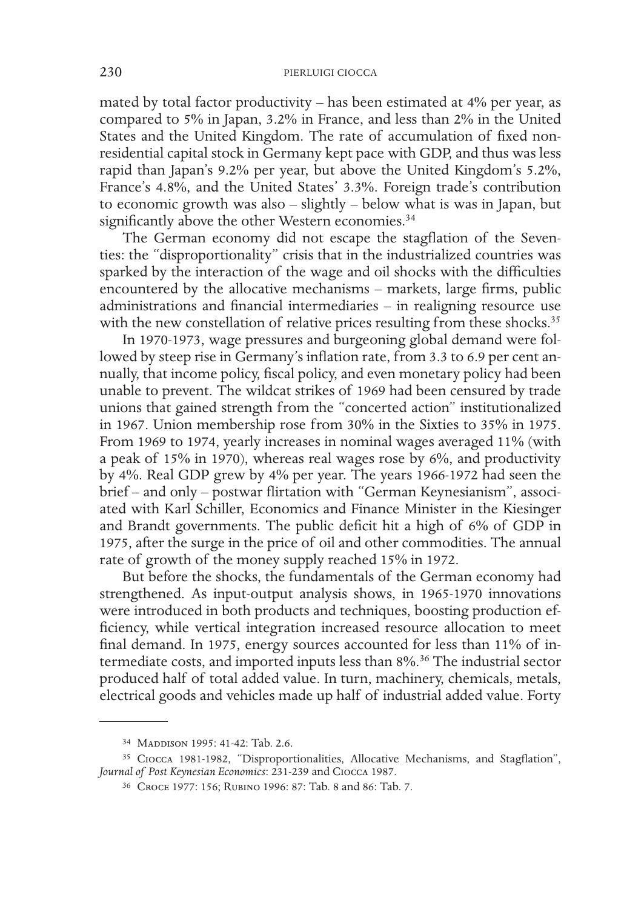mated by total factor productivity – has been estimated at 4% per year, as compared to 5% in Japan, 3.2% in France, and less than 2% in the United States and the United Kingdom. The rate of accumulation of fixed nonresidential capital stock in Germany kept pace with GDP, and thus was less rapid than Japan's 9.2% per year, but above the United Kingdom's 5.2%, France's 4.8%, and the United States' 3.3%. Foreign trade's contribution to economic growth was also – slightly – below what is was in Japan, but significantly above the other Western economies.<sup>34</sup>

The German economy did not escape the stagflation of the Seventies: the "disproportionality" crisis that in the industrialized countries was sparked by the interaction of the wage and oil shocks with the difficulties encountered by the allocative mechanisms – markets, large firms, public administrations and financial intermediaries – in realigning resource use with the new constellation of relative prices resulting from these shocks.<sup>35</sup>

In 1970-1973, wage pressures and burgeoning global demand were followed by steep rise in Germany's inflation rate, from 3.3 to 6.9 per cent annually, that income policy, fiscal policy, and even monetary policy had been unable to prevent. The wildcat strikes of 1969 had been censured by trade unions that gained strength from the "concerted action" institutionalized in 1967. Union membership rose from 30% in the Sixties to 35% in 1975. From 1969 to 1974, yearly increases in nominal wages averaged 11% (with a peak of 15% in 1970), whereas real wages rose by 6%, and productivity by 4%. Real GDP grew by 4% per year. The years 1966-1972 had seen the brief – and only – postwar flirtation with "German Keynesianism", associated with Karl Schiller, Economics and Finance Minister in the Kiesinger and Brandt governments. The public deficit hit a high of 6% of GDP in 1975, after the surge in the price of oil and other commodities. The annual rate of growth of the money supply reached 15% in 1972.

But before the shocks, the fundamentals of the German economy had strengthened. As input-output analysis shows, in 1965-1970 innovations were introduced in both products and techniques, boosting production efficiency, while vertical integration increased resource allocation to meet final demand. In 1975, energy sources accounted for less than 11% of intermediate costs, and imported inputs less than 8%.36 The industrial sector produced half of total added value. In turn, machinery, chemicals, metals, electrical goods and vehicles made up half of industrial added value. Forty

<sup>&</sup>lt;sup>34</sup> MADDISON 1995: 41-42: Tab. 2.6.

<sup>35</sup> Ciocca 1981-1982, "Disproportionalities, Allocative Mechanisms, and Stagflation", *Journal of Post Keynesian Economics*: 231-239 and Ciocca 1987.

<sup>36</sup> Croce 1977: 156; Rubino 1996: 87: Tab. 8 and 86: Tab. 7.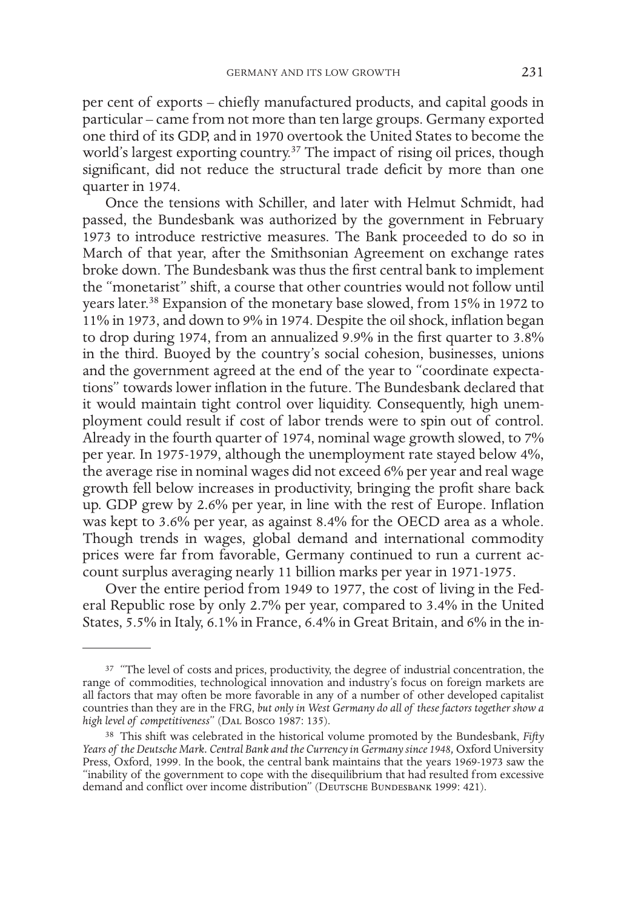per cent of exports – chiefly manufactured products, and capital goods in particular – came from not more than ten large groups. Germany exported one third of its GDP, and in 1970 overtook the United States to become the world's largest exporting country.<sup>37</sup> The impact of rising oil prices, though significant, did not reduce the structural trade deficit by more than one quarter in 1974.

Once the tensions with Schiller, and later with Helmut Schmidt, had passed, the Bundesbank was authorized by the government in February 1973 to introduce restrictive measures. The Bank proceeded to do so in March of that year, after the Smithsonian Agreement on exchange rates broke down. The Bundesbank was thus the first central bank to implement the "monetarist" shift, a course that other countries would not follow until years later.<sup>38</sup> Expansion of the monetary base slowed, from 15% in 1972 to 11% in 1973, and down to 9% in 1974. Despite the oil shock, inflation began to drop during 1974, from an annualized 9.9% in the first quarter to 3.8% in the third. Buoyed by the country's social cohesion, businesses, unions and the government agreed at the end of the year to "coordinate expectations" towards lower inflation in the future. The Bundesbank declared that it would maintain tight control over liquidity. Consequently, high unemployment could result if cost of labor trends were to spin out of control. Already in the fourth quarter of 1974, nominal wage growth slowed, to 7% per year. In 1975-1979, although the unemployment rate stayed below 4%, the average rise in nominal wages did not exceed 6% per year and real wage growth fell below increases in productivity, bringing the profit share back up. GDP grew by 2.6% per year, in line with the rest of Europe. Inflation was kept to 3.6% per year, as against 8.4% for the OECD area as a whole. Though trends in wages, global demand and international commodity prices were far from favorable, Germany continued to run a current account surplus averaging nearly 11 billion marks per year in 1971-1975.

Over the entire period from 1949 to 1977, the cost of living in the Federal Republic rose by only 2.7% per year, compared to 3.4% in the United States, 5.5% in Italy, 6.1% in France, 6.4% in Great Britain, and 6% in the in-

<sup>&</sup>lt;sup>37</sup> "The level of costs and prices, productivity, the degree of industrial concentration, the range of commodities, technological innovation and industry's focus on foreign markets are all factors that may often be more favorable in any of a number of other developed capitalist countries than they are in the FRG, *but only in West Germany do all of these factors together show a high level of competitiveness*" (Dal Bosco 1987: 135).

<sup>38</sup> This shift was celebrated in the historical volume promoted by the Bundesbank, *Fifty*  Years of the Deutsche Mark. Central Bank and the Currency in Germany since 1948, Oxford University Press, Oxford, 1999. In the book, the central bank maintains that the years 1969-1973 saw the "inability of the government to cope with the disequilibrium that had resulted from excessive demand and conflict over income distribution" (DEUTSCHE BUNDESBANK 1999: 421).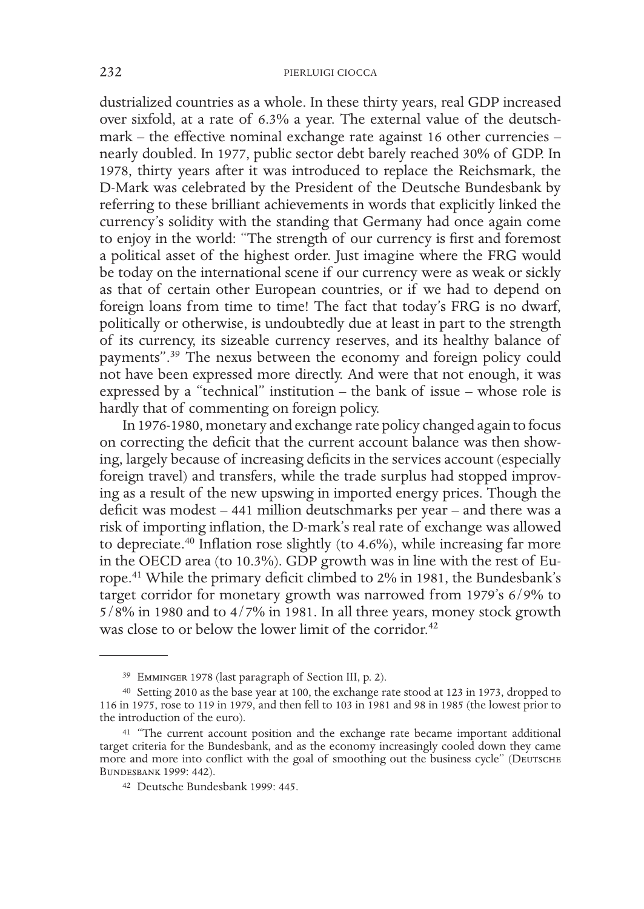dustrialized countries as a whole. In these thirty years, real GDP increased over sixfold, at a rate of 6.3% a year. The external value of the deutschmark – the effective nominal exchange rate against 16 other currencies – nearly doubled. In 1977, public sector debt barely reached 30% of GDP. In 1978, thirty years after it was introduced to replace the Reichsmark, the D-Mark was celebrated by the President of the Deutsche Bundesbank by referring to these brilliant achievements in words that explicitly linked the currency's solidity with the standing that Germany had once again come to enjoy in the world: "The strength of our currency is first and foremost a political asset of the highest order. Just imagine where the FRG would be today on the international scene if our currency were as weak or sickly as that of certain other European countries, or if we had to depend on foreign loans from time to time! The fact that today's FRG is no dwarf, politically or otherwise, is undoubtedly due at least in part to the strength of its currency, its sizeable currency reserves, and its healthy balance of payments".39 The nexus between the economy and foreign policy could not have been expressed more directly. And were that not enough, it was expressed by a "technical" institution – the bank of issue – whose role is hardly that of commenting on foreign policy.

In 1976-1980, monetary and exchange rate policy changed again to focus on correcting the deficit that the current account balance was then showing, largely because of increasing deficits in the services account (especially foreign travel) and transfers, while the trade surplus had stopped improving as a result of the new upswing in imported energy prices. Though the deficit was modest – 441 million deutschmarks per year – and there was a risk of importing inflation, the D-mark's real rate of exchange was allowed to depreciate.40 Inflation rose slightly (to 4.6%), while increasing far more in the OECD area (to 10.3%). GDP growth was in line with the rest of Europe.41 While the primary deficit climbed to 2% in 1981, the Bundesbank's target corridor for monetary growth was narrowed from 1979's 6/9% to  $5/8\%$  in 1980 and to  $4/7\%$  in 1981. In all three years, money stock growth was close to or below the lower limit of the corridor.<sup>42</sup>

<sup>39</sup> Emminger 1978 (last paragraph of Section III, p. 2).

<sup>40</sup> Setting 2010 as the base year at 100, the exchange rate stood at 123 in 1973, dropped to 116 in 1975, rose to 119 in 1979, and then fell to 103 in 1981 and 98 in 1985 (the lowest prior to the introduction of the euro).

<sup>41</sup> "The current account position and the exchange rate became important additional target criteria for the Bundesbank, and as the economy increasingly cooled down they came more and more into conflict with the goal of smoothing out the business cycle" (DEUTSCHE Bundesbank 1999: 442).

<sup>42</sup> Deutsche Bundesbank 1999: 445.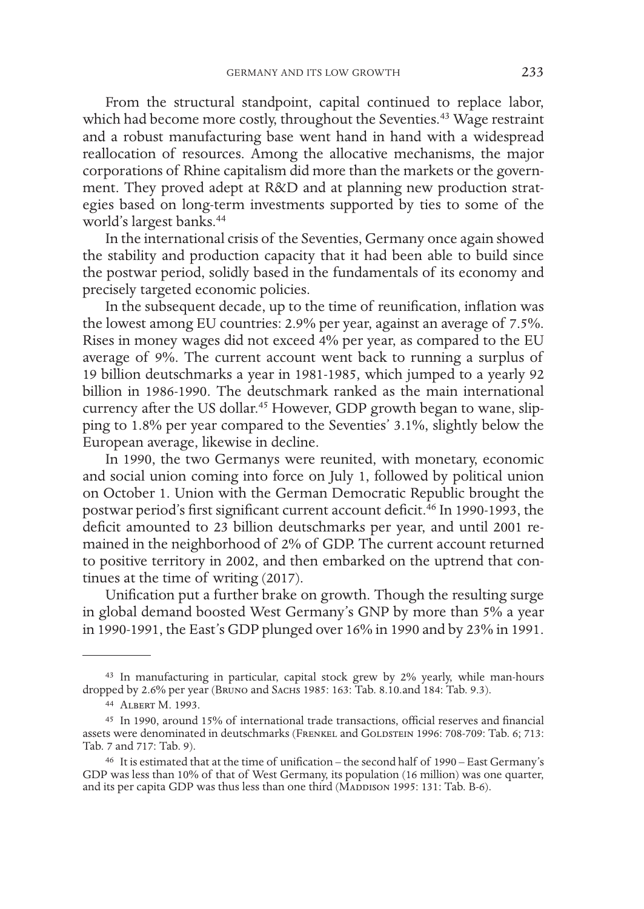From the structural standpoint, capital continued to replace labor, which had become more costly, throughout the Seventies.<sup>43</sup> Wage restraint and a robust manufacturing base went hand in hand with a widespread reallocation of resources. Among the allocative mechanisms, the major corporations of Rhine capitalism did more than the markets or the government. They proved adept at R&D and at planning new production strategies based on long-term investments supported by ties to some of the world's largest banks.<sup>44</sup>

In the international crisis of the Seventies, Germany once again showed the stability and production capacity that it had been able to build since the postwar period, solidly based in the fundamentals of its economy and precisely targeted economic policies.

In the subsequent decade, up to the time of reunification, inflation was the lowest among EU countries: 2.9% per year, against an average of 7.5%. Rises in money wages did not exceed 4% per year, as compared to the EU average of 9%. The current account went back to running a surplus of 19 billion deutschmarks a year in 1981-1985, which jumped to a yearly 92 billion in 1986-1990. The deutschmark ranked as the main international currency after the US dollar.<sup>45</sup> However, GDP growth began to wane, slipping to 1.8% per year compared to the Seventies' 3.1%, slightly below the European average, likewise in decline.

In 1990, the two Germanys were reunited, with monetary, economic and social union coming into force on July 1, followed by political union on October 1. Union with the German Democratic Republic brought the postwar period's first significant current account deficit.<sup>46</sup> In 1990-1993, the deficit amounted to 23 billion deutschmarks per year, and until 2001 remained in the neighborhood of 2% of GDP. The current account returned to positive territory in 2002, and then embarked on the uptrend that continues at the time of writing (2017).

Unification put a further brake on growth. Though the resulting surge in global demand boosted West Germany's GNP by more than 5% a year in 1990-1991, the East's GDP plunged over 16% in 1990 and by 23% in 1991.

<sup>43</sup> In manufacturing in particular, capital stock grew by 2% yearly, while man-hours dropped by 2.6% per year (Bruno and Sachs 1985: 163: Tab. 8.10.and 184: Tab. 9.3).

<sup>44</sup> Albert M. 1993.

<sup>45</sup> In 1990, around 15% of international trade transactions, official reserves and financial assets were denominated in deutschmarks (FRENKEL and GOLDSTEIN 1996: 708-709: Tab. 6; 713: Tab. 7 and 717: Tab. 9).

<sup>46</sup> It is estimated that at the time of unification – the second half of 1990 – East Germany's GDP was less than 10% of that of West Germany, its population (16 million) was one quarter, and its per capita GDP was thus less than one third (MADDISON 1995: 131: Tab. B-6).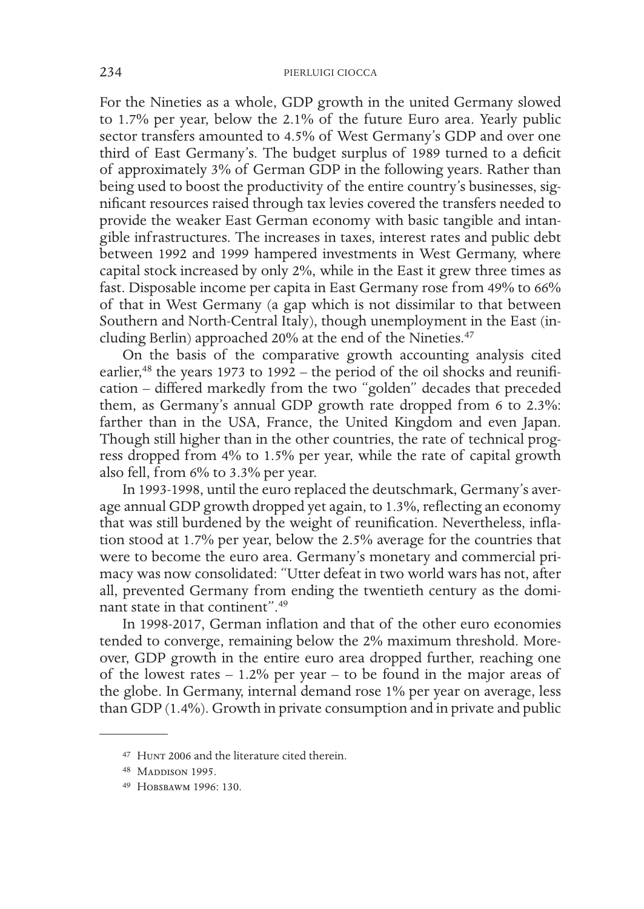For the Nineties as a whole, GDP growth in the united Germany slowed to 1.7% per year, below the 2.1% of the future Euro area. Yearly public sector transfers amounted to 4.5% of West Germany's GDP and over one third of East Germany's. The budget surplus of 1989 turned to a deficit of approximately 3% of German GDP in the following years. Rather than being used to boost the productivity of the entire country's businesses, significant resources raised through tax levies covered the transfers needed to provide the weaker East German economy with basic tangible and intangible infrastructures. The increases in taxes, interest rates and public debt between 1992 and 1999 hampered investments in West Germany, where capital stock increased by only 2%, while in the East it grew three times as fast. Disposable income per capita in East Germany rose from 49% to 66% of that in West Germany (a gap which is not dissimilar to that between Southern and North-Central Italy), though unemployment in the East (including Berlin) approached 20% at the end of the Nineties.<sup>47</sup>

On the basis of the comparative growth accounting analysis cited earlier, $48$  the years 1973 to 1992 – the period of the oil shocks and reunification – differed markedly from the two "golden" decades that preceded them, as Germany's annual GDP growth rate dropped from 6 to 2.3%: farther than in the USA, France, the United Kingdom and even Japan. Though still higher than in the other countries, the rate of technical progress dropped from 4% to 1.5% per year, while the rate of capital growth also fell, from 6% to 3.3% per year.

In 1993-1998, until the euro replaced the deutschmark, Germany's average annual GDP growth dropped yet again, to 1.3%, reflecting an economy that was still burdened by the weight of reunification. Nevertheless, inflation stood at 1.7% per year, below the 2.5% average for the countries that were to become the euro area. Germany's monetary and commercial primacy was now consolidated: "Utter defeat in two world wars has not, after all, prevented Germany from ending the twentieth century as the dominant state in that continent".<sup>49</sup>

In 1998-2017, German inflation and that of the other euro economies tended to converge, remaining below the 2% maximum threshold. Moreover, GDP growth in the entire euro area dropped further, reaching one of the lowest rates  $-1.2\%$  per year  $-$  to be found in the major areas of the globe. In Germany, internal demand rose 1% per year on average, less than GDP (1.4%). Growth in private consumption and in private and public

<sup>47</sup> Hunt 2006 and the literature cited therein.

<sup>48</sup> MADDISON 1995.

<sup>49</sup> Hobsbawm 1996: 130.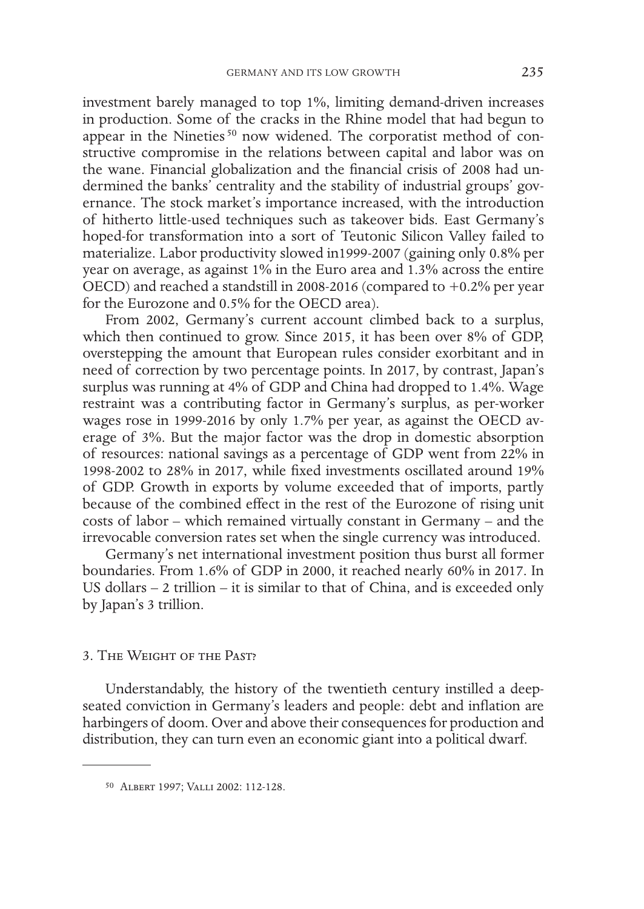investment barely managed to top 1%, limiting demand-driven increases in production. Some of the cracks in the Rhine model that had begun to appear in the Nineties<sup>50</sup> now widened. The corporatist method of constructive compromise in the relations between capital and labor was on the wane. Financial globalization and the financial crisis of 2008 had undermined the banks' centrality and the stability of industrial groups' governance. The stock market's importance increased, with the introduction of hitherto little-used techniques such as takeover bids. East Germany's hoped-for transformation into a sort of Teutonic Silicon Valley failed to materialize. Labor productivity slowed in1999-2007 (gaining only 0.8% per year on average, as against 1% in the Euro area and 1.3% across the entire OECD) and reached a standstill in 2008-2016 (compared to +0.2% per year for the Eurozone and 0.5% for the OECD area).

From 2002, Germany's current account climbed back to a surplus, which then continued to grow. Since 2015, it has been over 8% of GDP, overstepping the amount that European rules consider exorbitant and in need of correction by two percentage points. In 2017, by contrast, Japan's surplus was running at 4% of GDP and China had dropped to 1.4%. Wage restraint was a contributing factor in Germany's surplus, as per-worker wages rose in 1999-2016 by only 1.7% per year, as against the OECD average of 3%. But the major factor was the drop in domestic absorption of resources: national savings as a percentage of GDP went from 22% in 1998-2002 to 28% in 2017, while fixed investments oscillated around 19% of GDP. Growth in exports by volume exceeded that of imports, partly because of the combined effect in the rest of the Eurozone of rising unit costs of labor – which remained virtually constant in Germany – and the irrevocable conversion rates set when the single currency was introduced.

Germany's net international investment position thus burst all former boundaries. From 1.6% of GDP in 2000, it reached nearly 60% in 2017. In US dollars – 2 trillion – it is similar to that of China, and is exceeded only by Japan's 3 trillion.

### 3. The Weight of the Past?

Understandably, the history of the twentieth century instilled a deepseated conviction in Germany's leaders and people: debt and inflation are harbingers of doom. Over and above their consequences for production and distribution, they can turn even an economic giant into a political dwarf.

<sup>50</sup> Albert 1997; Valli 2002: 112-128.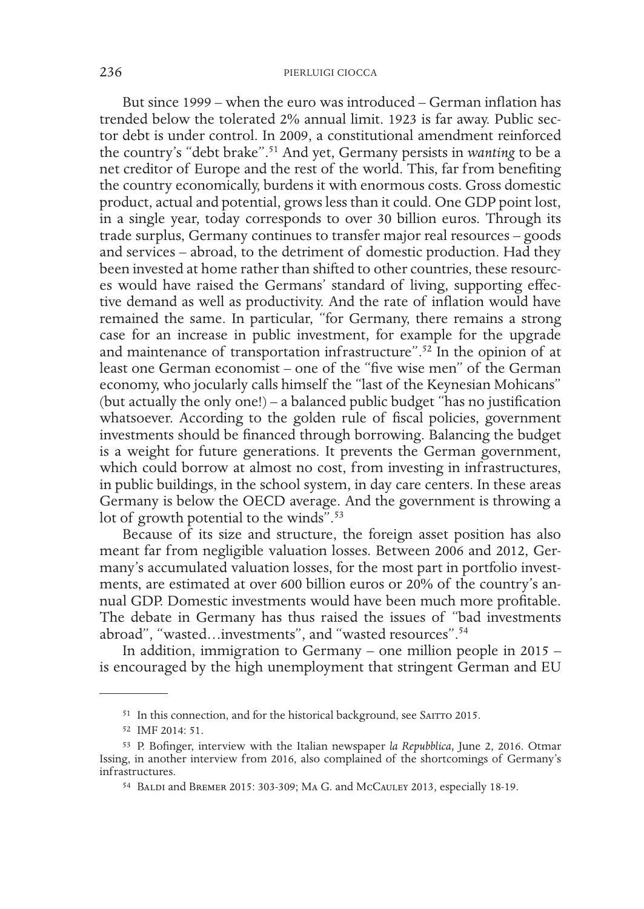But since 1999 – when the euro was introduced – German inflation has trended below the tolerated 2% annual limit. 1923 is far away. Public sector debt is under control. In 2009, a constitutional amendment reinforced the country's "debt brake".51 And yet, Germany persists in *wanting* to be a net creditor of Europe and the rest of the world. This, far from benefiting the country economically, burdens it with enormous costs. Gross domestic product, actual and potential, grows less than it could. One GDP point lost, in a single year, today corresponds to over 30 billion euros. Through its trade surplus, Germany continues to transfer major real resources – goods and services – abroad, to the detriment of domestic production. Had they been invested at home rather than shifted to other countries, these resources would have raised the Germans' standard of living, supporting effective demand as well as productivity. And the rate of inflation would have remained the same. In particular, "for Germany, there remains a strong case for an increase in public investment, for example for the upgrade and maintenance of transportation infrastructure".<sup>52</sup> In the opinion of at least one German economist – one of the "five wise men" of the German economy, who jocularly calls himself the "last of the Keynesian Mohicans" (but actually the only one!) – a balanced public budget "has no justification whatsoever. According to the golden rule of fiscal policies, government investments should be financed through borrowing. Balancing the budget is a weight for future generations. It prevents the German government, which could borrow at almost no cost, from investing in infrastructures, in public buildings, in the school system, in day care centers. In these areas Germany is below the OECD average. And the government is throwing a lot of growth potential to the winds".<sup>53</sup>

Because of its size and structure, the foreign asset position has also meant far from negligible valuation losses. Between 2006 and 2012, Germany's accumulated valuation losses, for the most part in portfolio investments, are estimated at over 600 billion euros or 20% of the country's annual GDP. Domestic investments would have been much more profitable. The debate in Germany has thus raised the issues of "bad investments abroad", "wasted...investments", and "wasted resources".<sup>54</sup>

In addition, immigration to Germany – one million people in 2015 – is encouraged by the high unemployment that stringent German and EU

<sup>&</sup>lt;sup>51</sup> In this connection, and for the historical background, see SAITTO 2015.

<sup>52</sup> IMF 2014: 51.

<sup>53</sup> P. Bofinger, interview with the Italian newspaper *la Repubblica,* June 2, 2016. Otmar Issing, in another interview from 2016, also complained of the shortcomings of Germany's infrastructures.

<sup>54</sup> Baldi and Bremer 2015: 303-309; Ma G. and McCauley 2013, especially 18-19.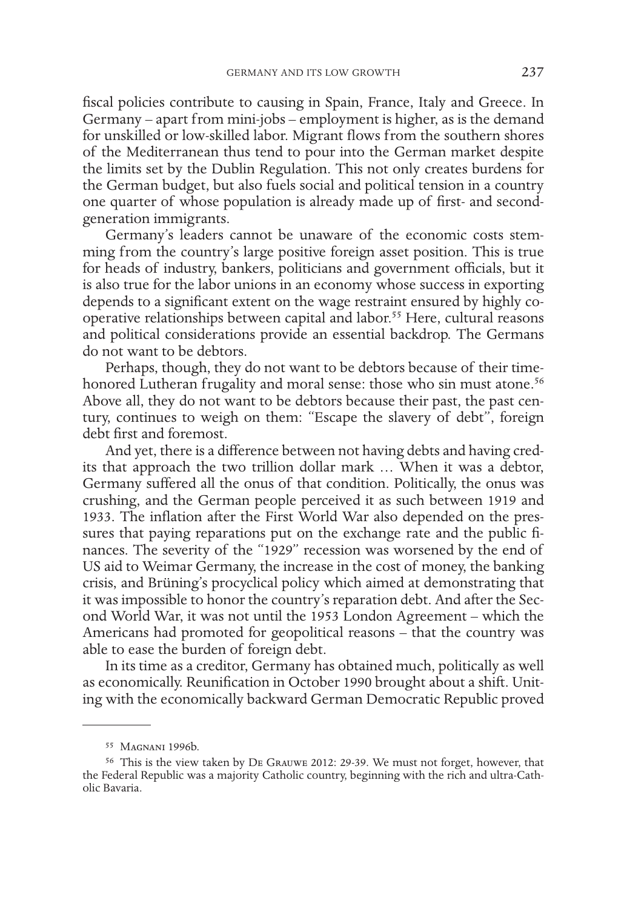fiscal policies contribute to causing in Spain, France, Italy and Greece. In Germany – apart from mini-jobs – employment is higher, as is the demand for unskilled or low-skilled labor. Migrant flows from the southern shores of the Mediterranean thus tend to pour into the German market despite the limits set by the Dublin Regulation. This not only creates burdens for the German budget, but also fuels social and political tension in a country one quarter of whose population is already made up of first- and secondgeneration immigrants.

Germany's leaders cannot be unaware of the economic costs stemming from the country's large positive foreign asset position. This is true for heads of industry, bankers, politicians and government officials, but it is also true for the labor unions in an economy whose success in exporting depends to a significant extent on the wage restraint ensured by highly cooperative relationships between capital and labor.55 Here, cultural reasons and political considerations provide an essential backdrop. The Germans do not want to be debtors.

Perhaps, though, they do not want to be debtors because of their timehonored Lutheran frugality and moral sense: those who sin must atone.<sup>56</sup> Above all, they do not want to be debtors because their past, the past century, continues to weigh on them: "Escape the slavery of debt", foreign debt first and foremost.

And yet, there is a difference between not having debts and having credits that approach the two trillion dollar mark … When it was a debtor, Germany suffered all the onus of that condition. Politically, the onus was crushing, and the German people perceived it as such between 1919 and 1933. The inflation after the First World War also depended on the pressures that paying reparations put on the exchange rate and the public finances. The severity of the "1929" recession was worsened by the end of US aid to Weimar Germany, the increase in the cost of money, the banking crisis, and Brüning's procyclical policy which aimed at demonstrating that it was impossible to honor the country's reparation debt. And after the Second World War, it was not until the 1953 London Agreement – which the Americans had promoted for geopolitical reasons – that the country was able to ease the burden of foreign debt.

In its time as a creditor, Germany has obtained much, politically as well as economically. Reunification in October 1990 brought about a shift. Uniting with the economically backward German Democratic Republic proved

<sup>55</sup> Magnani 1996b.

<sup>56</sup> This is the view taken by De Grauwe 2012: 29-39. We must not forget, however, that the Federal Republic was a majority Catholic country, beginning with the rich and ultra-Catholic Bavaria.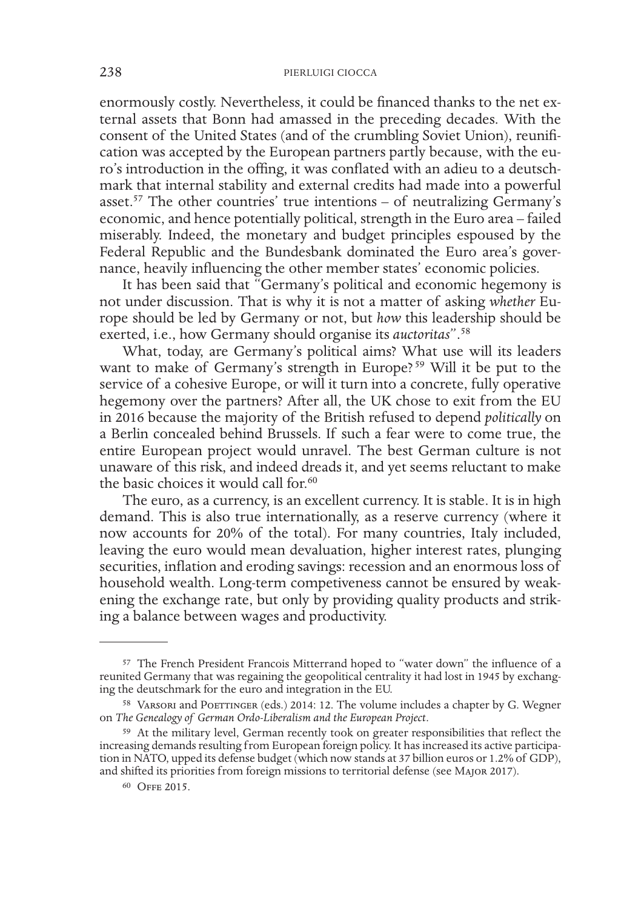enormously costly. Nevertheless, it could be financed thanks to the net external assets that Bonn had amassed in the preceding decades. With the consent of the United States (and of the crumbling Soviet Union), reunification was accepted by the European partners partly because, with the euro's introduction in the offing, it was conflated with an adieu to a deutschmark that internal stability and external credits had made into a powerful asset.57 The other countries' true intentions – of neutralizing Germany's economic, and hence potentially political, strength in the Euro area – failed miserably. Indeed, the monetary and budget principles espoused by the Federal Republic and the Bundesbank dominated the Euro area's governance, heavily influencing the other member states' economic policies.

It has been said that "Germany's political and economic hegemony is not under discussion. That is why it is not a matter of asking *whether* Europe should be led by Germany or not, but *how* this leadership should be exerted, i.e., how Germany should organise its *auctoritas*".58

What, today, are Germany's political aims? What use will its leaders want to make of Germany's strength in Europe?<sup>59</sup> Will it be put to the service of a cohesive Europe, or will it turn into a concrete, fully operative hegemony over the partners? After all, the UK chose to exit from the EU in 2016 because the majority of the British refused to depend *politically* on a Berlin concealed behind Brussels. If such a fear were to come true, the entire European project would unravel. The best German culture is not unaware of this risk, and indeed dreads it, and yet seems reluctant to make the basic choices it would call for.<sup>60</sup>

The euro, as a currency, is an excellent currency. It is stable. It is in high demand. This is also true internationally, as a reserve currency (where it now accounts for 20% of the total). For many countries, Italy included, leaving the euro would mean devaluation, higher interest rates, plunging securities, inflation and eroding savings: recession and an enormous loss of household wealth. Long-term competiveness cannot be ensured by weakening the exchange rate, but only by providing quality products and striking a balance between wages and productivity.

<sup>57</sup> The French President Francois Mitterrand hoped to "water down" the influence of a reunited Germany that was regaining the geopolitical centrality it had lost in 1945 by exchanging the deutschmark for the euro and integration in the EU.

<sup>58</sup> Varsori and Poettinger (eds.) 2014: 12. The volume includes a chapter by G. Wegner on *The Genealogy of German Ordo-Liberalism and the European Project*.

<sup>59</sup> At the military level, German recently took on greater responsibilities that reflect the increasing demands resulting from European foreign policy. It has increased its active participation in NATO, upped its defense budget (which now stands at 37 billion euros or 1.2% of GDP), and shifted its priorities from foreign missions to territorial defense (see Major 2017).

<sup>60</sup> Offe 2015.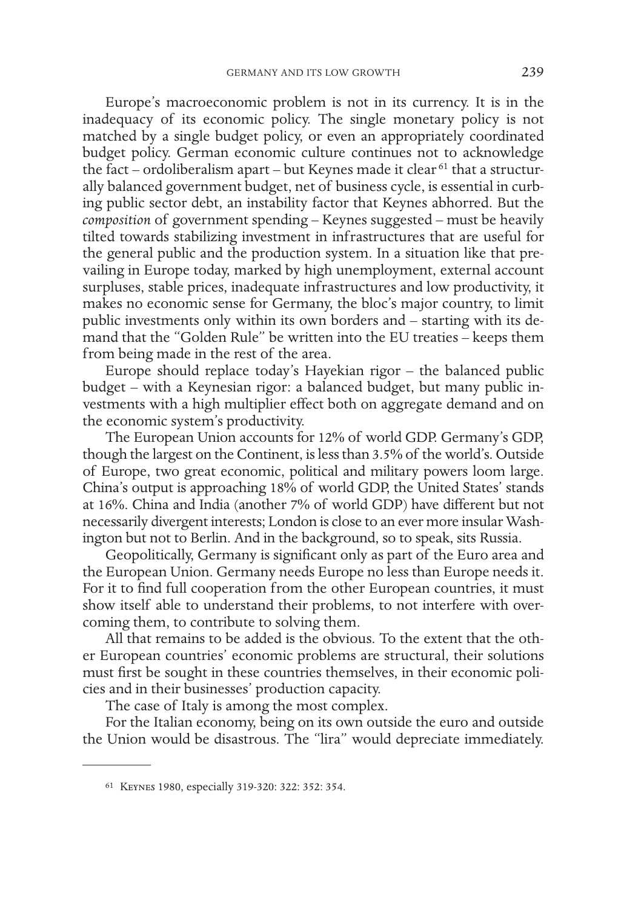Europe's macroeconomic problem is not in its currency. It is in the inadequacy of its economic policy. The single monetary policy is not matched by a single budget policy, or even an appropriately coordinated budget policy. German economic culture continues not to acknowledge the fact – ordoliberalism apart – but Keynes made it clear<sup>61</sup> that a structurally balanced government budget, net of business cycle, is essential in curbing public sector debt, an instability factor that Keynes abhorred. But the *composition* of government spending – Keynes suggested – must be heavily tilted towards stabilizing investment in infrastructures that are useful for the general public and the production system. In a situation like that prevailing in Europe today, marked by high unemployment, external account surpluses, stable prices, inadequate infrastructures and low productivity, it makes no economic sense for Germany, the bloc's major country, to limit public investments only within its own borders and – starting with its demand that the "Golden Rule" be written into the EU treaties – keeps them from being made in the rest of the area.

Europe should replace today's Hayekian rigor – the balanced public budget – with a Keynesian rigor: a balanced budget, but many public investments with a high multiplier effect both on aggregate demand and on the economic system's productivity.

The European Union accounts for 12% of world GDP. Germany's GDP, though the largest on the Continent, is less than 3.5% of the world's. Outside of Europe, two great economic, political and military powers loom large. China's output is approaching 18% of world GDP, the United States' stands at 16%. China and India (another 7% of world GDP) have different but not necessarily divergent interests; London is close to an ever more insular Washington but not to Berlin. And in the background, so to speak, sits Russia.

Geopolitically, Germany is significant only as part of the Euro area and the European Union. Germany needs Europe no less than Europe needs it. For it to find full cooperation from the other European countries, it must show itself able to understand their problems, to not interfere with overcoming them, to contribute to solving them.

All that remains to be added is the obvious. To the extent that the other European countries' economic problems are structural, their solutions must first be sought in these countries themselves, in their economic policies and in their businesses' production capacity.

The case of Italy is among the most complex.

For the Italian economy, being on its own outside the euro and outside the Union would be disastrous. The "lira" would depreciate immediately.

<sup>61</sup> Keynes 1980, especially 319-320: 322: 352: 354.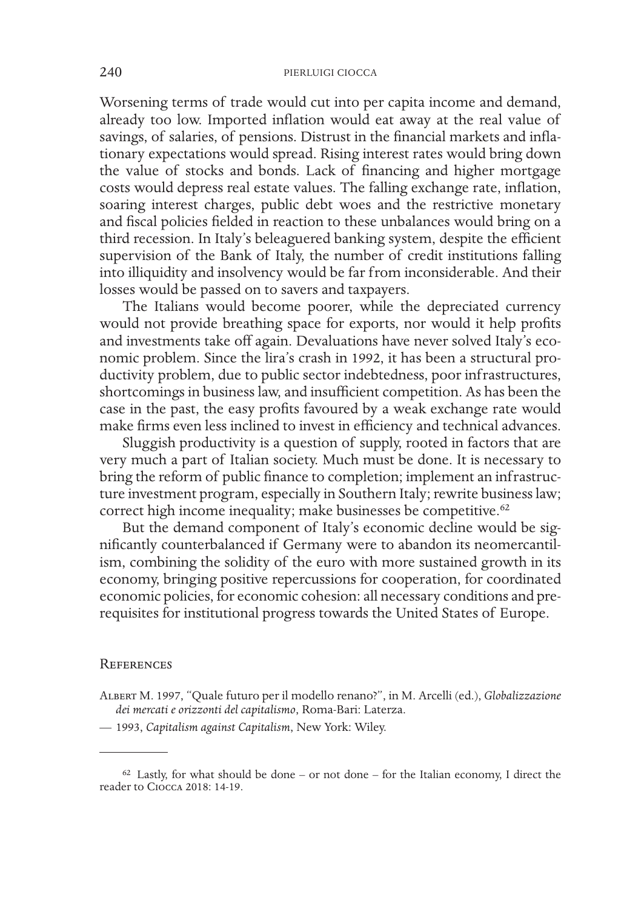Worsening terms of trade would cut into per capita income and demand, already too low. Imported inflation would eat away at the real value of savings, of salaries, of pensions. Distrust in the financial markets and inflationary expectations would spread. Rising interest rates would bring down the value of stocks and bonds. Lack of financing and higher mortgage costs would depress real estate values. The falling exchange rate, inflation, soaring interest charges, public debt woes and the restrictive monetary and fiscal policies fielded in reaction to these unbalances would bring on a third recession. In Italy's beleaguered banking system, despite the efficient supervision of the Bank of Italy, the number of credit institutions falling into illiquidity and insolvency would be far from inconsiderable. And their losses would be passed on to savers and taxpayers.

The Italians would become poorer, while the depreciated currency would not provide breathing space for exports, nor would it help profits and investments take off again. Devaluations have never solved Italy's economic problem. Since the lira's crash in 1992, it has been a structural productivity problem, due to public sector indebtedness, poor infrastructures, shortcomings in business law, and insufficient competition. As has been the case in the past, the easy profits favoured by a weak exchange rate would make firms even less inclined to invest in efficiency and technical advances.

Sluggish productivity is a question of supply, rooted in factors that are very much a part of Italian society. Much must be done. It is necessary to bring the reform of public finance to completion; implement an infrastructure investment program, especially in Southern Italy; rewrite business law; correct high income inequality; make businesses be competitive.<sup>62</sup>

But the demand component of Italy's economic decline would be significantly counterbalanced if Germany were to abandon its neomercantilism, combining the solidity of the euro with more sustained growth in its economy, bringing positive repercussions for cooperation, for coordinated economic policies, for economic cohesion: all necessary conditions and prerequisites for institutional progress towards the United States of Europe.

#### **REFERENCES**

Albert M. 1997, "Quale futuro per il modello renano?", in M. Arcelli (ed.), *Globalizzazione dei mercati e orizzonti del capitalismo*, Roma-Bari: Laterza.

<sup>—</sup> 1993, *Capitalism against Capitalism*, New York: Wiley.

 $62$  Lastly, for what should be done – or not done – for the Italian economy, I direct the reader to Ciocca 2018: 14-19.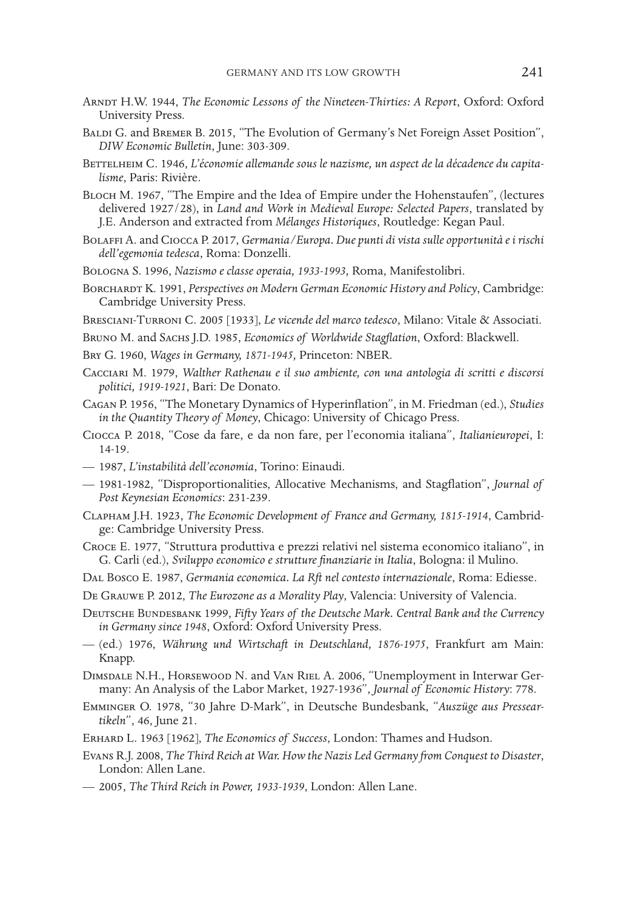- Arndt H.W. 1944, *The Economic Lessons of the Nineteen-Thirties: A Report*, Oxford: Oxford University Press.
- BALDI G. and BREMER B. 2015, "The Evolution of Germany's Net Foreign Asset Position", *DIW Economic Bulletin*, June: 303-309.
- BETTELHEIM C. 1946, L'économie allemande sous le nazisme, un aspect de la décadence du capita*lisme*, Paris: Rivière.
- Bloch M. 1967, "The Empire and the Idea of Empire under the Hohenstaufen", (lectures delivered 1927/28), in *Land and Work in Medieval Europe: Selected Papers*, translated by J.E. Anderson and extracted from *Mélanges Historiques*, Routledge: Kegan Paul.
- Bolaffi A. and Ciocca P. 2017, *Germania/Europa. Due punti di vista sulle opportunità e i rischi dell'egemonia tedesca*, Roma: Donzelli.
- Bologna S. 1996, *Nazismo e classe operaia, 1933-1993,* Roma, Manifestolibri.
- BORCHARDT K. 1991, *Perspectives on Modern German Economic History and Policy*, Cambridge: Cambridge University Press.
- Bresciani-Turroni C. 2005 [1933], *Le vicende del marco tedesco*, Milano: Vitale & Associati.
- Bruno M. and Sachs J.D. 1985, *Economics of Worldwide Stagflation*, Oxford: Blackwell.
- Bry G. 1960, *Wages in Germany, 1871-1945,* Princeton: NBER.
- Cacciari M. 1979, *Walther Rathenau e il suo ambiente, con una antologia di scritti e discorsi politici, 1919-1921*, Bari: De Donato.
- Cagan P. 1956, "The Monetary Dynamics of Hyperinflation", in M. Friedman (ed.), *Studies in the Quantity Theory of Money*, Chicago: University of Chicago Press.
- Ciocca P. 2018, "Cose da fare, e da non fare, per l'economia italiana", *Italianieuropei*, I: 14-19.
- 1987, *L'instabilità dell'economia*, Torino: Einaudi.
- 1981-1982, "Disproportionalities, Allocative Mechanisms, and Stagflation", *Journal of Post Keynesian Economics*: 231-239.
- Clapham J.H. 1923, *The Economic Development of France and Germany, 1815-1914*, Cambridge: Cambridge University Press.
- Croce E. 1977, "Struttura produttiva e prezzi relativi nel sistema economico italiano", in G. Carli (ed.), *Sviluppo economico e strutture finanziarie in Italia*, Bologna: il Mulino.
- Dal Bosco E. 1987, *Germania economica. La Rft nel contesto internazionale*, Roma: Ediesse.
- De Grauwe P. 2012, *The Eurozone as a Morality Play*, Valencia: University of Valencia.
- Deutsche Bundesbank 1999, *Fifty Years of the Deutsche Mark. Central Bank and the Currency in Germany since 1948*, Oxford: Oxford University Press.
- (ed.) 1976, *Währung und Wirtschaft in Deutschland, 1876-1975*, Frankfurt am Main: Knapp.
- Dimsdale N.H., Horsewood N. and Van Riel A. 2006, "Unemployment in Interwar Germany: An Analysis of the Labor Market, 1927-1936", *Journal of Economic History*: 778.
- Emminger O. 1978, "30 Jahre D-Mark", in Deutsche Bundesbank, "*Auszüge aus Presseartikeln*", 46, June 21.
- Erhard L. 1963 [1962], *The Economics of Success*, London: Thames and Hudson.
- Evans R.J. 2008, *The Third Reich at War. How the Nazis Led Germany from Conquest to Disaster*, London: Allen Lane.
- 2005, *The Third Reich in Power, 1933-1939*, London: Allen Lane.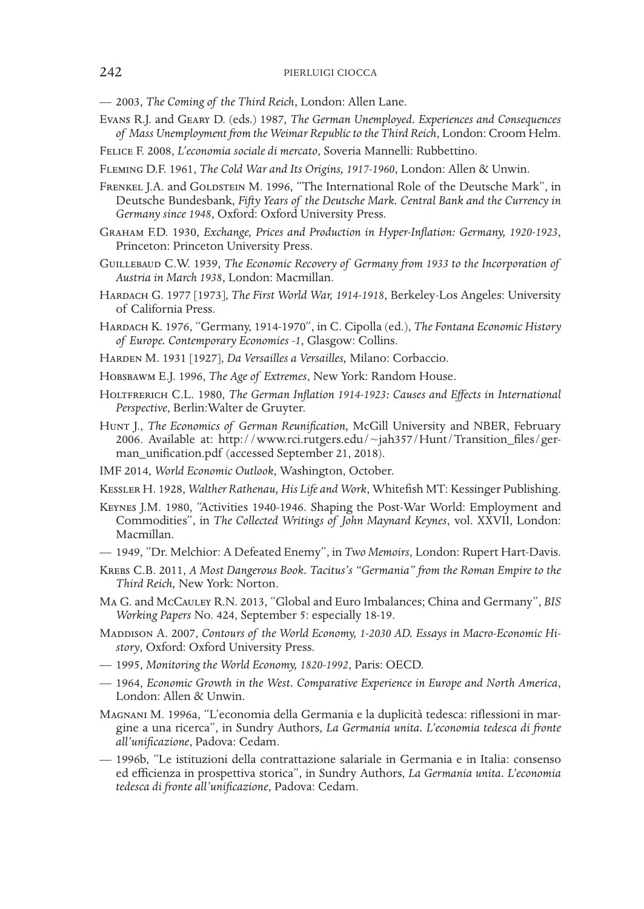- 2003, *The Coming of the Third Reich*, London: Allen Lane.
- Evans R.J. and Geary D. (eds.) 1987, *The German Unemployed. Experiences and Consequences of Mass Unemployment from the Weimar Republic to the Third Reich*, London: Croom Helm.
- Felice F. 2008, *L'economia sociale di mercato*, Soveria Mannelli: Rubbettino.
- Fleming D.F. 1961, *The Cold War and Its Origins, 1917-1960*, London: Allen & Unwin.

FRENKEL J.A. and GOLDSTEIN M. 1996, "The International Role of the Deutsche Mark", in Deutsche Bundesbank, *Fifty Years of the Deutsche Mark. Central Bank and the Currency in Germany since 1948*, Oxford: Oxford University Press.

- Graham F.D. 1930, *Exchange, Prices and Production in Hyper-Inflation: Germany, 1920-1923*, Princeton: Princeton University Press.
- Guillebaud C.W. 1939, *The Economic Recovery of Germany from 1933 to the Incorporation of Austria in March 1938*, London: Macmillan.
- HARDACH G. 1977 [1973], *The First World War*, 1914-1918, Berkeley-Los Angeles: University of California Press.
- Hardach K. 1976, "Germany, 1914-1970", in C. Cipolla (ed.), *The Fontana Economic History of Europe. Contemporary Economies -1*, Glasgow: Collins.
- Harden M. 1931 [1927], *Da Versailles a Versailles,* Milano: Corbaccio.
- Hobsbawm E.J. 1996, *The Age of Extremes*, New York: Random House.
- HOLTFRERICH C.L. 1980, *The German Inflation 1914-1923: Causes and Effects in International Perspective*, Berlin:Walter de Gruyter.
- Hunt J., *The Economics of German Reunification,* McGill University and NBER, February 2006. Available at: http://www.rci.rutgers.edu/~jah357/Hunt/Transition\_files/german\_unification.pdf (accessed September 21, 2018).
- IMF 2014, *World Economic Outlook*, Washington, October.
- Kessler H. 1928, *Walther Rathenau, His Life and Work*, Whitefish MT: Kessinger Publishing.
- Keynes J.M. 1980, "Activities 1940-1946. Shaping the Post-War World: Employment and Commodities", in *The Collected Writings of John Maynard Keynes*, vol. XXVII, London: Macmillan.
- 1949, "Dr. Melchior: A Defeated Enemy", in *Two Memoirs*, London: Rupert Hart-Davis.
- Krebs C.B. 2011, *A Most Dangerous Book. Tacitus's "Germania" from the Roman Empire to the Third Reich,* New York: Norton.
- Ma G. and McCauley R.N. 2013, "Global and Euro Imbalances; China and Germany", *BIS Working Papers* No. 424, September 5: especially 18-19.
- MADDISON A. 2007, *Contours of the World Economy, 1-2030 AD. Essays in Macro-Economic History*, Oxford: Oxford University Press.
- 1995, *Monitoring the World Economy, 1820-1992*, Paris: OECD.
- 1964, *Economic Growth in the West. Comparative Experience in Europe and North America*, London: Allen & Unwin.
- Magnani M. 1996a, "L'economia della Germania e la duplicità tedesca: riflessioni in margine a una ricerca", in Sundry Authors, *La Germania unita. L'economia tedesca di fronte all'unificazione*, Padova: Cedam.
- 1996b, "Le istituzioni della contrattazione salariale in Germania e in Italia: consenso ed efficienza in prospettiva storica", in Sundry Authors, *La Germania unita. L'economia tedesca di fronte all'unificazione*, Padova: Cedam.